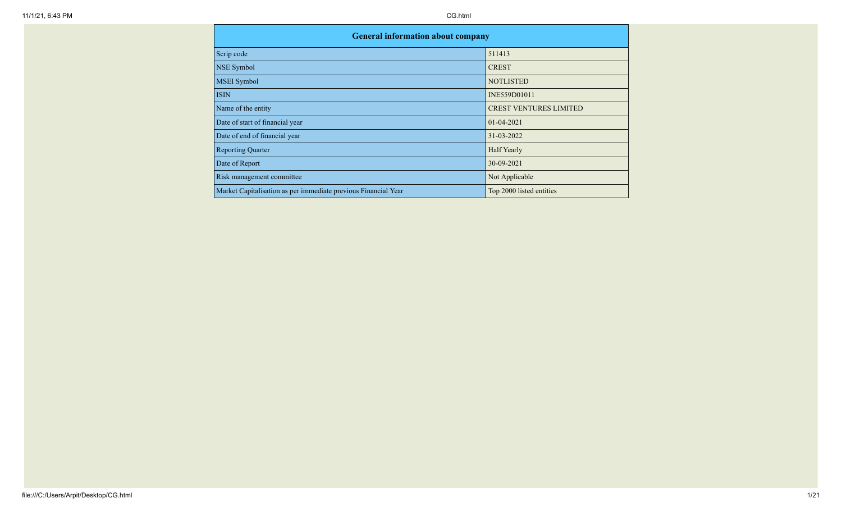| <b>General information about company</b>                       |                               |
|----------------------------------------------------------------|-------------------------------|
| Scrip code                                                     | 511413                        |
| NSE Symbol                                                     | <b>CREST</b>                  |
| <b>MSEI</b> Symbol                                             | <b>NOTLISTED</b>              |
| <b>ISIN</b>                                                    | INE559D01011                  |
| Name of the entity                                             | <b>CREST VENTURES LIMITED</b> |
| Date of start of financial year                                | $01 - 04 - 2021$              |
| Date of end of financial year                                  | 31-03-2022                    |
| <b>Reporting Quarter</b>                                       | <b>Half Yearly</b>            |
| Date of Report                                                 | 30-09-2021                    |
| Risk management committee                                      | Not Applicable                |
| Market Capitalisation as per immediate previous Financial Year | Top 2000 listed entities      |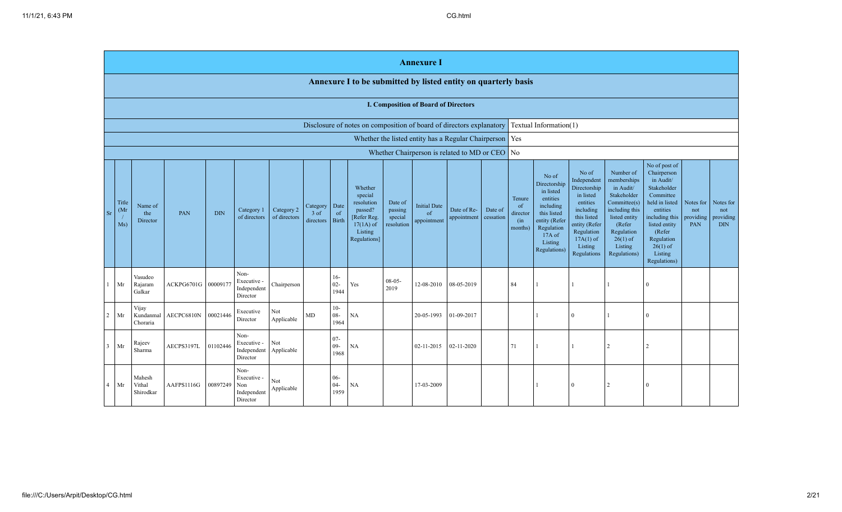|                       |                                                                                                    |                                |                     |            |                                                       |                            |                                 |                          |                                                                                                     |                                             | <b>Annexure I</b>                           |                            |                      |                                            |                                                                                                                                                  |                                                                                                                                                                   |                                                                                                                                                                          |                                                                                                                                                                                                         |                                      |                                             |
|-----------------------|----------------------------------------------------------------------------------------------------|--------------------------------|---------------------|------------|-------------------------------------------------------|----------------------------|---------------------------------|--------------------------|-----------------------------------------------------------------------------------------------------|---------------------------------------------|---------------------------------------------|----------------------------|----------------------|--------------------------------------------|--------------------------------------------------------------------------------------------------------------------------------------------------|-------------------------------------------------------------------------------------------------------------------------------------------------------------------|--------------------------------------------------------------------------------------------------------------------------------------------------------------------------|---------------------------------------------------------------------------------------------------------------------------------------------------------------------------------------------------------|--------------------------------------|---------------------------------------------|
|                       |                                                                                                    |                                |                     |            |                                                       |                            |                                 |                          | Annexure I to be submitted by listed entity on quarterly basis                                      |                                             |                                             |                            |                      |                                            |                                                                                                                                                  |                                                                                                                                                                   |                                                                                                                                                                          |                                                                                                                                                                                                         |                                      |                                             |
|                       |                                                                                                    |                                |                     |            |                                                       |                            |                                 |                          |                                                                                                     |                                             | <b>I. Composition of Board of Directors</b> |                            |                      |                                            |                                                                                                                                                  |                                                                                                                                                                   |                                                                                                                                                                          |                                                                                                                                                                                                         |                                      |                                             |
|                       | Disclosure of notes on composition of board of directors explanatory                               |                                |                     |            |                                                       |                            |                                 |                          |                                                                                                     | Textual Information(1)                      |                                             |                            |                      |                                            |                                                                                                                                                  |                                                                                                                                                                   |                                                                                                                                                                          |                                                                                                                                                                                                         |                                      |                                             |
|                       | Whether the listed entity has a Regular Chairperson<br>Whether Chairperson is related to MD or CEO |                                |                     |            |                                                       |                            |                                 |                          |                                                                                                     |                                             | Yes                                         |                            |                      |                                            |                                                                                                                                                  |                                                                                                                                                                   |                                                                                                                                                                          |                                                                                                                                                                                                         |                                      |                                             |
|                       |                                                                                                    |                                |                     |            |                                                       |                            |                                 |                          |                                                                                                     |                                             |                                             |                            |                      | $\log$                                     |                                                                                                                                                  |                                                                                                                                                                   |                                                                                                                                                                          |                                                                                                                                                                                                         |                                      |                                             |
| <b>Sr</b>             | Title<br>(Mr)<br>Ms)                                                                               | Name of<br>the<br>Director     | PAN                 | <b>DIN</b> | Category 1<br>of directors                            | Category 2<br>of directors | Category<br>$3$ of<br>directors | Date<br>of<br>Birth      | Whether<br>special<br>resolution<br>passed?<br>Refer Reg.<br>$17(1A)$ of<br>Listing<br>Regulations] | Date of<br>passing<br>special<br>resolution | <b>Initial Date</b><br>of<br>appointment    | Date of Re-<br>appointment | Date of<br>cessation | Tenure<br>of<br>director<br>(in<br>months) | No of<br>Directorship<br>in listed<br>entities<br>including<br>this listed<br>entity (Refer<br>Regulation<br>$17A$ of<br>Listing<br>Regulations) | No of<br>Independent<br>Directorship<br>in listed<br>entities<br>including<br>this listed<br>entity (Refer<br>Regulation<br>$17A(1)$ of<br>Listing<br>Regulations | Number of<br>memberships<br>in Audit/<br>Stakeholder<br>Committee(s)<br>including this<br>listed entity<br>(Refer<br>Regulation<br>$26(1)$ of<br>Listing<br>Regulations) | No of post of<br>Chairperson<br>in Audit/<br>Stakeholder<br>Committee<br>held in listed<br>entities<br>including this<br>listed entity<br>(Refer<br>Regulation<br>$26(1)$ of<br>Listing<br>Regulations) | Notes for<br>not<br>providing<br>PAN | Notes for<br>not<br>providing<br><b>DIN</b> |
|                       | Mr                                                                                                 | Vasudeo<br>Rajaram<br>Galkar   | ACKPG6701G 00009177 |            | Non-<br>Executive -<br>Independent<br>Director        | Chairperson                |                                 | $16-$<br>$02 -$<br>1944  | Yes                                                                                                 | $08 - 05 -$<br>2019                         | 12-08-2010                                  | 08-05-2019                 |                      | 84                                         |                                                                                                                                                  |                                                                                                                                                                   |                                                                                                                                                                          | $\theta$                                                                                                                                                                                                |                                      |                                             |
| $\overline{2}$        | Mr                                                                                                 | Vijay<br>Kundanmal<br>Choraria | AECPC6810N          | 00021446   | Executive<br>Director                                 | Not<br>Applicable          | <b>MD</b>                       | $10-$<br>$08 -$<br>1964  | NA                                                                                                  |                                             | 20-05-1993                                  | 01-09-2017                 |                      |                                            |                                                                                                                                                  | $\theta$                                                                                                                                                          |                                                                                                                                                                          | $\Omega$                                                                                                                                                                                                |                                      |                                             |
| $\mathbf{3}$          | Mr                                                                                                 | Rajeev<br>Sharma               | AECPS3197L          | 01102446   | Non-<br>Executive -<br>Independent<br>Director        | Not<br>Applicable          |                                 | $07 -$<br>$09 -$<br>1968 | NA                                                                                                  |                                             | 02-11-2015                                  | 02-11-2020                 |                      | 71                                         |                                                                                                                                                  | $\overline{1}$                                                                                                                                                    | 2                                                                                                                                                                        | $\overline{2}$                                                                                                                                                                                          |                                      |                                             |
| $\boldsymbol{\Delta}$ | Mr                                                                                                 | Mahesh<br>Vithal<br>Shirodkar  | AAFPS1116G          | 00897249   | Non-<br>Executive -<br>Non<br>Independent<br>Director | Not<br>Applicable          |                                 | $06 -$<br>$04 -$<br>1959 | <b>NA</b>                                                                                           |                                             | 17-03-2009                                  |                            |                      |                                            |                                                                                                                                                  | $\overline{0}$                                                                                                                                                    | $\overline{2}$                                                                                                                                                           | $\theta$                                                                                                                                                                                                |                                      |                                             |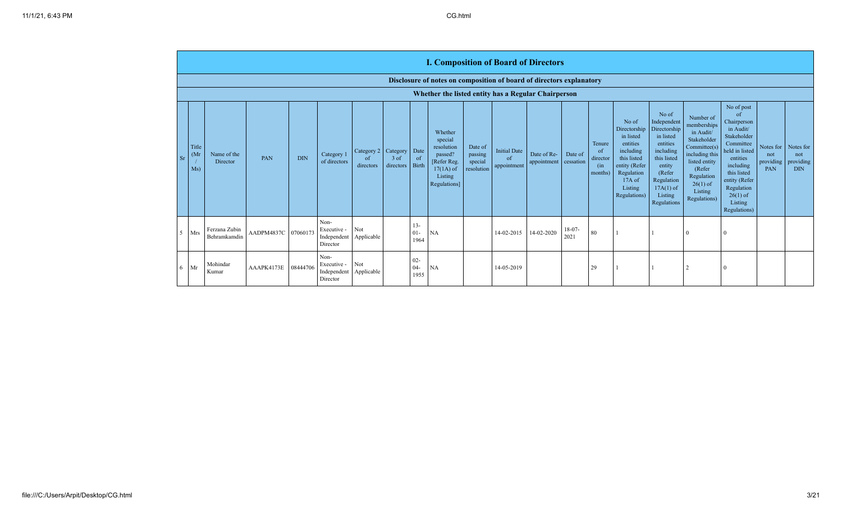|    |                      |                               |                     |            |                                                |                                                          |                   |                               | <b>I. Composition of Board of Directors</b>                                                          |                                             |                                          |                                      |                  |                                                       |                                                                                                                                                |                                                                                                                                                                      |                                                                                                                                                                          |                                                                                                                                                                                                                       |                                      |                                             |
|----|----------------------|-------------------------------|---------------------|------------|------------------------------------------------|----------------------------------------------------------|-------------------|-------------------------------|------------------------------------------------------------------------------------------------------|---------------------------------------------|------------------------------------------|--------------------------------------|------------------|-------------------------------------------------------|------------------------------------------------------------------------------------------------------------------------------------------------|----------------------------------------------------------------------------------------------------------------------------------------------------------------------|--------------------------------------------------------------------------------------------------------------------------------------------------------------------------|-----------------------------------------------------------------------------------------------------------------------------------------------------------------------------------------------------------------------|--------------------------------------|---------------------------------------------|
|    |                      |                               |                     |            |                                                |                                                          |                   |                               | Disclosure of notes on composition of board of directors explanatory                                 |                                             |                                          |                                      |                  |                                                       |                                                                                                                                                |                                                                                                                                                                      |                                                                                                                                                                          |                                                                                                                                                                                                                       |                                      |                                             |
|    |                      |                               |                     |            |                                                |                                                          |                   |                               | Whether the listed entity has a Regular Chairperson                                                  |                                             |                                          |                                      |                  |                                                       |                                                                                                                                                |                                                                                                                                                                      |                                                                                                                                                                          |                                                                                                                                                                                                                       |                                      |                                             |
| Sr | Title<br>(Mr)<br>Ms) | Name of the<br>Director       | PAN                 | <b>DIN</b> | Category 1<br>of directors                     | Category 2 Category   Date<br><sub>of</sub><br>directors | 3 of<br>directors | <sub>of</sub><br><b>Birth</b> | Whether<br>special<br>resolution<br>passed?<br>[Refer Reg.<br>$17(1A)$ of<br>Listing<br>Regulations] | Date of<br>passing<br>special<br>resolution | <b>Initial Date</b><br>of<br>appointment | Date of Re-<br>appointment cessation | Date of          | Tenure<br><sub>of</sub><br>director<br>(in<br>months) | No of<br>Directorship<br>in listed<br>entities<br>including<br>this listed<br>entity (Refer<br>Regulation<br>17A of<br>Listing<br>Regulations) | No of<br>Independent<br>Directorship<br>in listed<br>entities<br>including<br>this listed<br>entity<br>(Refer<br>Regulation<br>$17A(1)$ of<br>Listing<br>Regulations | Number of<br>memberships<br>in Audit/<br>Stakeholder<br>Committee(s)<br>including this<br>listed entity<br>(Refer<br>Regulation<br>$26(1)$ of<br>Listing<br>Regulations) | No of post<br><sub>of</sub><br>Chairperson<br>in Audit/<br>Stakeholder<br>Committee<br>held in listed<br>entities<br>including<br>this listed<br>entity (Refer<br>Regulation<br>$26(1)$ of<br>Listing<br>Regulations) | Notes for<br>not<br>providing<br>PAN | Notes for<br>not<br>providing<br><b>DIN</b> |
| 5. | Mrs                  | Ferzana Zubin<br>Behramkamdin | AADPM4837C 07060173 |            | Non-<br>Executive -<br>Independent<br>Director | Not<br>Applicable                                        |                   | $13 -$<br>$01 -$<br>1964      | NA                                                                                                   |                                             | 14-02-2015                               | 14-02-2020                           | $18-07-$<br>2021 | 80                                                    |                                                                                                                                                |                                                                                                                                                                      |                                                                                                                                                                          | $\Omega$                                                                                                                                                                                                              |                                      |                                             |
|    | $6$ Mr               | Mohindar<br>Kumar             | AAAPK4173E          | 08444706   | Non-<br>Executive -<br>Independent<br>Director | Not<br>Applicable                                        |                   | $02 -$<br>$04 -$<br>1955      | <b>NA</b>                                                                                            |                                             | 14-05-2019                               |                                      |                  | 29                                                    |                                                                                                                                                |                                                                                                                                                                      |                                                                                                                                                                          |                                                                                                                                                                                                                       |                                      |                                             |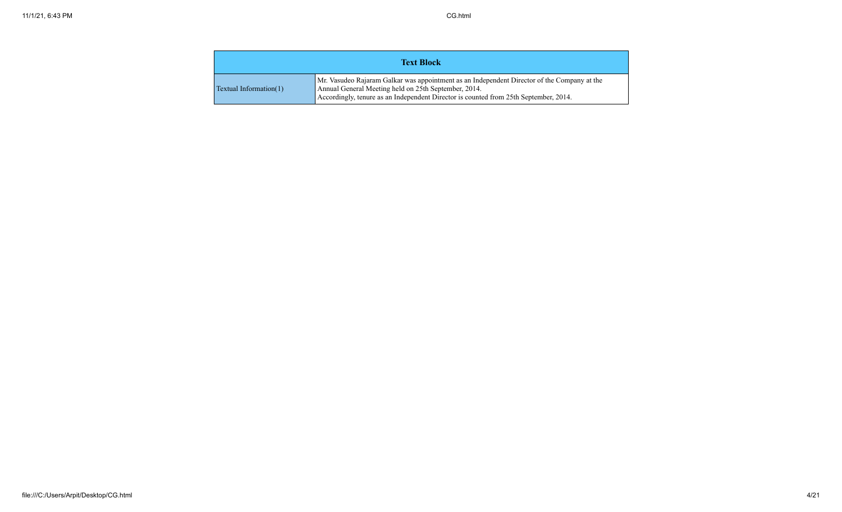|                        | <b>Text Block</b>                                                                                                                                                                                                                           |
|------------------------|---------------------------------------------------------------------------------------------------------------------------------------------------------------------------------------------------------------------------------------------|
| Textual Information(1) | Mr. Vasudeo Rajaram Galkar was appointment as an Independent Director of the Company at the<br>Annual General Meeting held on 25th September, 2014.<br>Accordingly, tenure as an Independent Director is counted from 25th September, 2014. |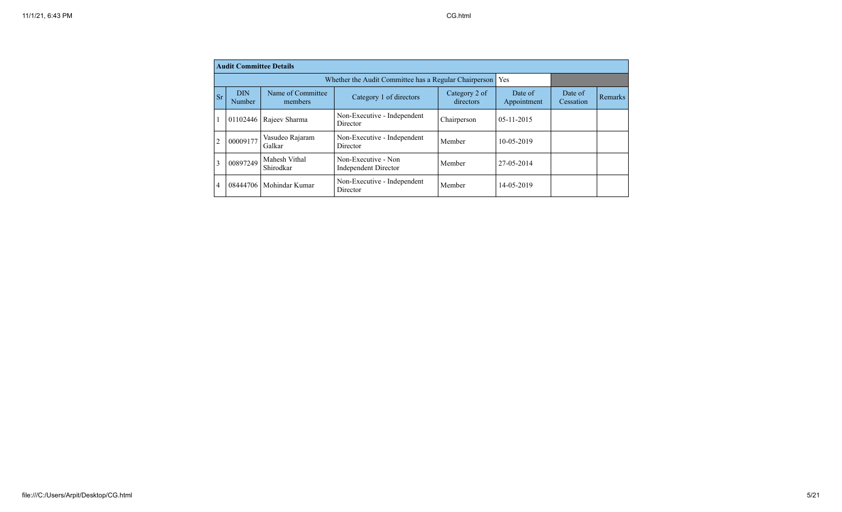|                | <b>Audit Committee Details</b> |                              |                                                       |                            |                        |                      |         |
|----------------|--------------------------------|------------------------------|-------------------------------------------------------|----------------------------|------------------------|----------------------|---------|
|                |                                |                              | Whether the Audit Committee has a Regular Chairperson |                            | Yes                    |                      |         |
| Sr             | <b>DIN</b><br>Number           | Name of Committee<br>members | Category 1 of directors                               | Category 2 of<br>directors | Date of<br>Appointment | Date of<br>Cessation | Remarks |
|                | 01102446                       | Rajeev Sharma                | Non-Executive - Independent<br>Director               | Chairperson                | $05 - 11 - 2015$       |                      |         |
| $\overline{2}$ | 00009177                       | Vasudeo Rajaram<br>Galkar    | Non-Executive - Independent<br>Director               | Member                     | 10-05-2019             |                      |         |
| 3              | 00897249                       | Mahesh Vithal<br>Shirodkar   | Non-Executive - Non<br>Independent Director           | Member                     | 27-05-2014             |                      |         |
| 4              | 08444706                       | Mohindar Kumar               | Non-Executive - Independent<br>Director               | Member                     | 14-05-2019             |                      |         |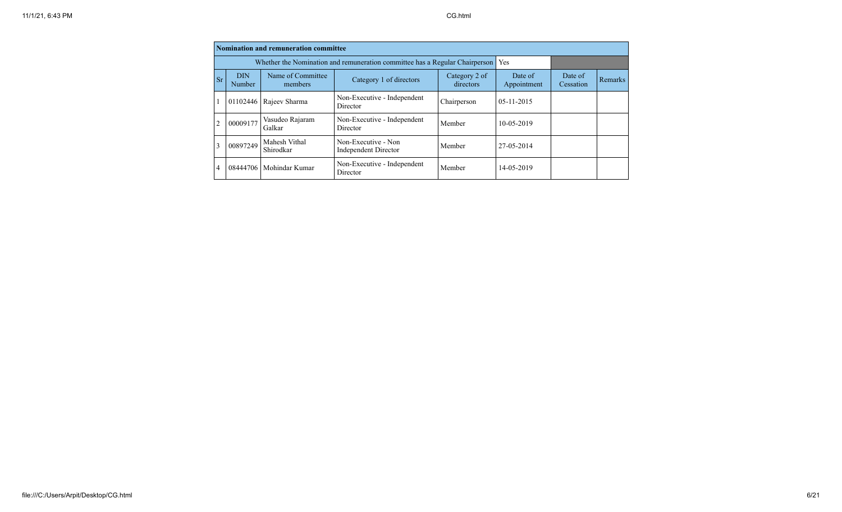|                |                            | <b>Nomination and remuneration committee</b>                                |                                             |                            |                        |                      |         |
|----------------|----------------------------|-----------------------------------------------------------------------------|---------------------------------------------|----------------------------|------------------------|----------------------|---------|
|                |                            | Whether the Nomination and remuneration committee has a Regular Chairperson | Yes                                         |                            |                        |                      |         |
| <b>Sr</b>      | <b>DIN</b><br>Number       | Name of Committee<br>members                                                | Category 1 of directors                     | Category 2 of<br>directors | Date of<br>Appointment | Date of<br>Cessation | Remarks |
|                | 01102446<br>Rajeev Sharma  |                                                                             | Non-Executive - Independent<br>Director     | Chairperson                | $05-11-2015$           |                      |         |
| $\overline{2}$ | 00009177                   | Vasudeo Rajaram<br>Galkar                                                   | Non-Executive - Independent<br>Director     | Member                     | 10-05-2019             |                      |         |
| 3              | 00897249                   | Mahesh Vithal<br>Shirodkar                                                  | Non-Executive - Non<br>Independent Director | Member                     | 27-05-2014             |                      |         |
| $\overline{4}$ | Mohindar Kumar<br>08444706 |                                                                             | Non-Executive - Independent<br>Director     | Member                     | 14-05-2019             |                      |         |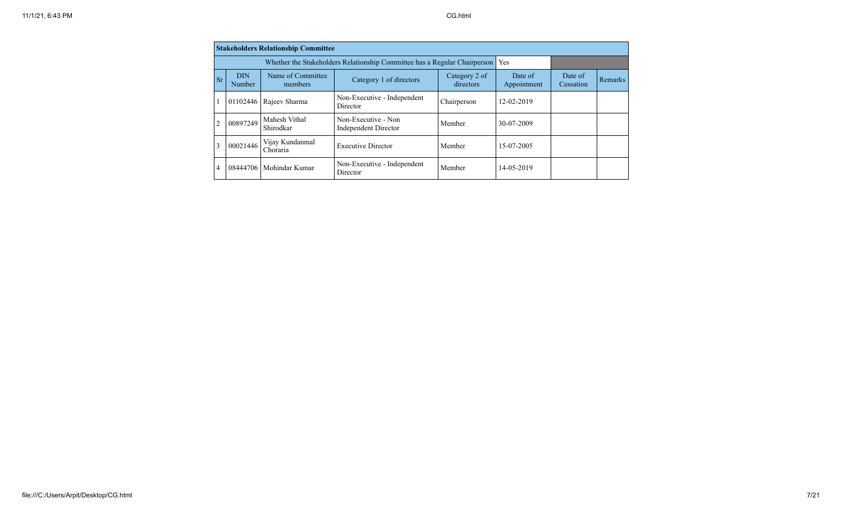|                |                           | <b>Stakeholders Relationship Committee</b>                                |                                             |                            |                        |                      |         |
|----------------|---------------------------|---------------------------------------------------------------------------|---------------------------------------------|----------------------------|------------------------|----------------------|---------|
|                |                           | Whether the Stakeholders Relationship Committee has a Regular Chairperson | Yes                                         |                            |                        |                      |         |
| <b>Sr</b>      | <b>DIN</b><br>Number      | Name of Committee<br>members                                              | Category 1 of directors                     | Category 2 of<br>directors | Date of<br>Appointment | Date of<br>Cessation | Remarks |
|                |                           | 01102446   Rajeev Sharma                                                  | Non-Executive - Independent<br>Director     | Chairperson                | 12-02-2019             |                      |         |
| $\overline{2}$ | 00897249                  | Mahesh Vithal<br>Shirodkar                                                | Non-Executive - Non<br>Independent Director | Member                     | 30-07-2009             |                      |         |
| 3              | 00021446                  | Vijay Kundanmal<br>Choraria                                               | <b>Executive Director</b>                   | Member                     | 15-07-2005             |                      |         |
| $\overline{4}$ | 08444706   Mohindar Kumar |                                                                           | Non-Executive - Independent<br>Director     | Member                     | 14-05-2019             |                      |         |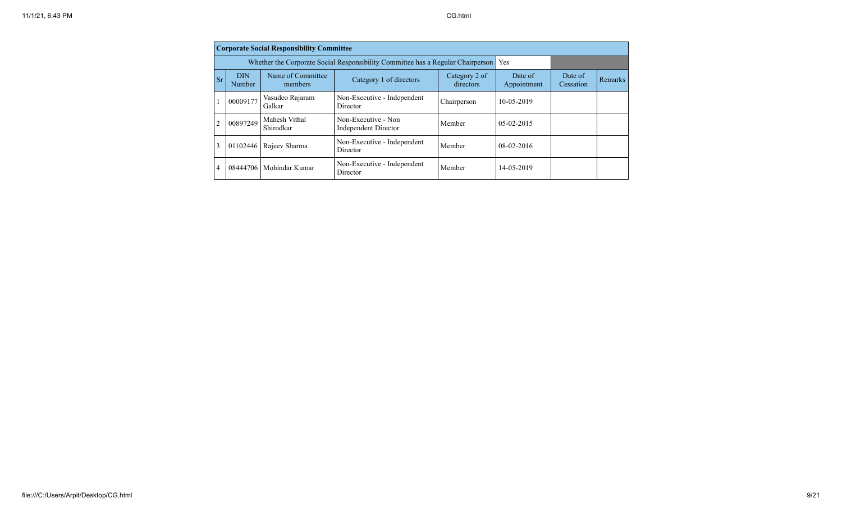|                |                                       | <b>Corporate Social Responsibility Committee</b>                                |                                                    |                            |                        |                      |         |
|----------------|---------------------------------------|---------------------------------------------------------------------------------|----------------------------------------------------|----------------------------|------------------------|----------------------|---------|
|                |                                       | Whether the Corporate Social Responsibility Committee has a Regular Chairperson | Yes                                                |                            |                        |                      |         |
| <b>Sr</b>      | <b>DIN</b><br>Number                  | Name of Committee<br>members                                                    | Category 1 of directors                            | Category 2 of<br>directors | Date of<br>Appointment | Date of<br>Cessation | Remarks |
| 1              | Vasudeo Rajaram<br>00009177<br>Galkar |                                                                                 | Non-Executive - Independent<br>Director            | Chairperson                | 10-05-2019             |                      |         |
| $\overline{2}$ | 00897249                              | Mahesh Vithal<br>Shirodkar                                                      | Non-Executive - Non<br><b>Independent Director</b> | Member                     | $05-02-2015$           |                      |         |
| 3              | 01102446                              | Rajeev Sharma                                                                   | Non-Executive - Independent<br>Director            | Member                     | $08-02-2016$           |                      |         |
| 4              |                                       | 08444706   Mohindar Kumar                                                       | Non-Executive - Independent<br>Director            | Member                     | 14-05-2019             |                      |         |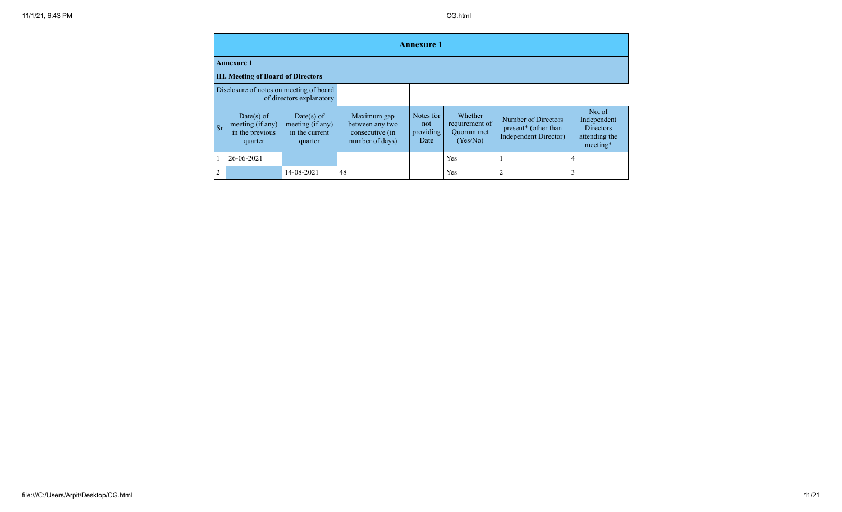|                |                                                              |                                                             |                                                                      | <b>Annexure 1</b>                     |                                                            |                                                                      |                                                                        |  |  |  |
|----------------|--------------------------------------------------------------|-------------------------------------------------------------|----------------------------------------------------------------------|---------------------------------------|------------------------------------------------------------|----------------------------------------------------------------------|------------------------------------------------------------------------|--|--|--|
|                | <b>Annexure 1</b>                                            |                                                             |                                                                      |                                       |                                                            |                                                                      |                                                                        |  |  |  |
|                | <b>III. Meeting of Board of Directors</b>                    |                                                             |                                                                      |                                       |                                                            |                                                                      |                                                                        |  |  |  |
|                | Disclosure of notes on meeting of board                      | of directors explanatory                                    |                                                                      |                                       |                                                            |                                                                      |                                                                        |  |  |  |
| <b>Sr</b>      | Date(s) of<br>meeting (if any)<br>in the previous<br>quarter | Date(s) of<br>meeting (if any)<br>in the current<br>quarter | Maximum gap<br>between any two<br>consecutive (in<br>number of days) | Notes for<br>not<br>providing<br>Date | Whether<br>requirement of<br><b>Ouorum</b> met<br>(Yes/No) | Number of Directors<br>present* (other than<br>Independent Director) | No. of<br>Independent<br><b>Directors</b><br>attending the<br>meeting* |  |  |  |
|                | 26-06-2021                                                   |                                                             |                                                                      |                                       | Yes                                                        |                                                                      | 4                                                                      |  |  |  |
| $\overline{2}$ |                                                              | 14-08-2021                                                  | 48                                                                   |                                       | Yes                                                        | 2                                                                    | 3                                                                      |  |  |  |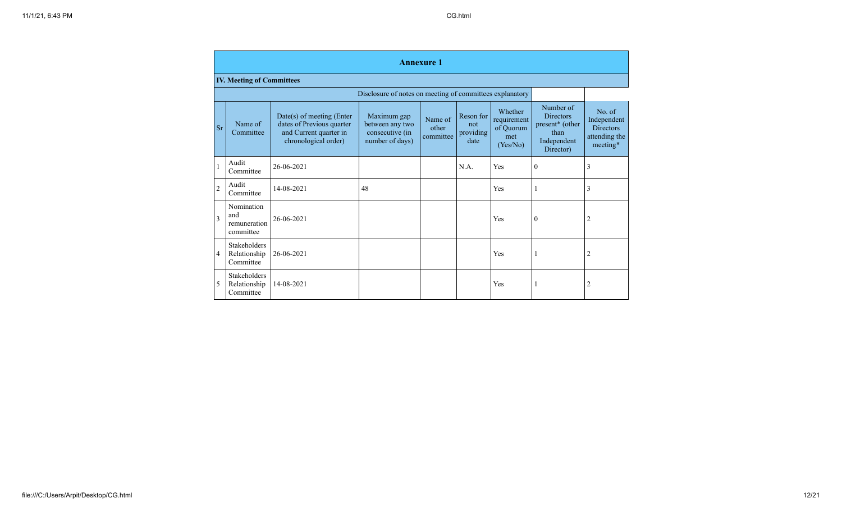|                | <b>Annexure 1</b>                                |                                                                                                            |                                                                      |                               |                                       |                                                        |                                                                                      |                                                                        |  |  |
|----------------|--------------------------------------------------|------------------------------------------------------------------------------------------------------------|----------------------------------------------------------------------|-------------------------------|---------------------------------------|--------------------------------------------------------|--------------------------------------------------------------------------------------|------------------------------------------------------------------------|--|--|
|                | <b>IV. Meeting of Committees</b>                 |                                                                                                            |                                                                      |                               |                                       |                                                        |                                                                                      |                                                                        |  |  |
|                |                                                  |                                                                                                            | Disclosure of notes on meeting of committees explanatory             |                               |                                       |                                                        |                                                                                      |                                                                        |  |  |
| <b>Sr</b>      | Name of<br>Committee                             | $Date(s)$ of meeting (Enter<br>dates of Previous quarter<br>and Current quarter in<br>chronological order) | Maximum gap<br>between any two<br>consecutive (in<br>number of days) | Name of<br>other<br>committee | Reson for<br>not<br>providing<br>date | Whether<br>requirement<br>of Quorum<br>met<br>(Yes/No) | Number of<br><b>Directors</b><br>present* (other<br>than<br>Independent<br>Director) | No. of<br>Independent<br><b>Directors</b><br>attending the<br>meeting* |  |  |
|                | Audit<br>Committee                               | 26-06-2021                                                                                                 |                                                                      |                               | N.A.                                  | Yes                                                    | $\theta$                                                                             | 3                                                                      |  |  |
| $\overline{2}$ | Audit<br>Committee                               | 14-08-2021                                                                                                 | 48                                                                   |                               |                                       | Yes                                                    |                                                                                      | 3                                                                      |  |  |
| 3              | Nomination<br>and<br>remuneration<br>committee   | 26-06-2021                                                                                                 |                                                                      |                               |                                       | Yes                                                    | $\mathbf{0}$                                                                         | 2                                                                      |  |  |
| 4              | <b>Stakeholders</b><br>Relationship<br>Committee | 26-06-2021                                                                                                 |                                                                      |                               |                                       | Yes                                                    | 1                                                                                    | $\overline{c}$                                                         |  |  |
| 5              | Stakeholders<br>Relationship<br>Committee        | 14-08-2021                                                                                                 |                                                                      |                               |                                       | Yes                                                    | 1                                                                                    | 2                                                                      |  |  |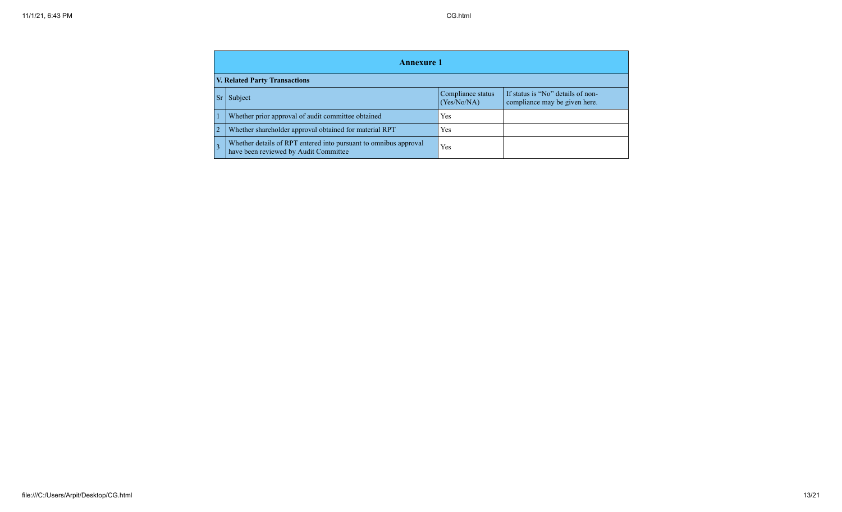|                                      | <b>Annexure 1</b>                                                                                         |                                  |                                                                    |  |  |  |  |  |  |  |
|--------------------------------------|-----------------------------------------------------------------------------------------------------------|----------------------------------|--------------------------------------------------------------------|--|--|--|--|--|--|--|
| <b>V. Related Party Transactions</b> |                                                                                                           |                                  |                                                                    |  |  |  |  |  |  |  |
| <b>Sr</b>                            | Subject                                                                                                   | Compliance status<br>(Yes/No/NA) | If status is "No" details of non-<br>compliance may be given here. |  |  |  |  |  |  |  |
|                                      | Whether prior approval of audit committee obtained                                                        | Yes                              |                                                                    |  |  |  |  |  |  |  |
|                                      | Whether shareholder approval obtained for material RPT                                                    | Yes                              |                                                                    |  |  |  |  |  |  |  |
| $\overline{3}$                       | Whether details of RPT entered into pursuant to omnibus approval<br>have been reviewed by Audit Committee | Yes                              |                                                                    |  |  |  |  |  |  |  |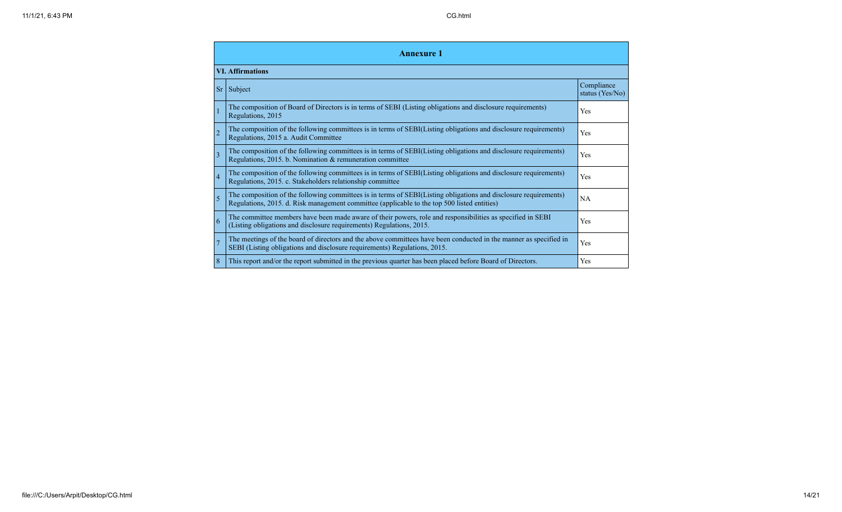|                | <b>Annexure</b> 1                                                                                                                                                                                               |                               |  |  |  |  |  |  |  |
|----------------|-----------------------------------------------------------------------------------------------------------------------------------------------------------------------------------------------------------------|-------------------------------|--|--|--|--|--|--|--|
|                | <b>VI.</b> Affirmations                                                                                                                                                                                         |                               |  |  |  |  |  |  |  |
|                | $Sr$ Subject                                                                                                                                                                                                    | Compliance<br>status (Yes/No) |  |  |  |  |  |  |  |
|                | The composition of Board of Directors is in terms of SEBI (Listing obligations and disclosure requirements)<br>Regulations, 2015                                                                                | Yes                           |  |  |  |  |  |  |  |
| $\overline{2}$ | The composition of the following committees is in terms of SEBI(Listing obligations and disclosure requirements)<br>Regulations, 2015 a. Audit Committee                                                        | Yes                           |  |  |  |  |  |  |  |
| 3              | The composition of the following committees is in terms of SEBI(Listing obligations and disclosure requirements)<br>Regulations, 2015. b. Nomination & remuneration committee                                   | Yes                           |  |  |  |  |  |  |  |
| $\overline{4}$ | The composition of the following committees is in terms of SEBI(Listing obligations and disclosure requirements)<br>Regulations, 2015. c. Stakeholders relationship committee                                   | Yes                           |  |  |  |  |  |  |  |
| $\overline{5}$ | The composition of the following committees is in terms of SEBI(Listing obligations and disclosure requirements)<br>Regulations, 2015. d. Risk management committee (applicable to the top 500 listed entities) | <b>NA</b>                     |  |  |  |  |  |  |  |
| 6              | The committee members have been made aware of their powers, role and responsibilities as specified in SEBI<br>(Listing obligations and disclosure requirements) Regulations, 2015.                              | Yes                           |  |  |  |  |  |  |  |
|                | The meetings of the board of directors and the above committees have been conducted in the manner as specified in<br>SEBI (Listing obligations and disclosure requirements) Regulations, 2015.                  | Yes                           |  |  |  |  |  |  |  |
| 8              | This report and/or the report submitted in the previous quarter has been placed before Board of Directors.                                                                                                      | Yes                           |  |  |  |  |  |  |  |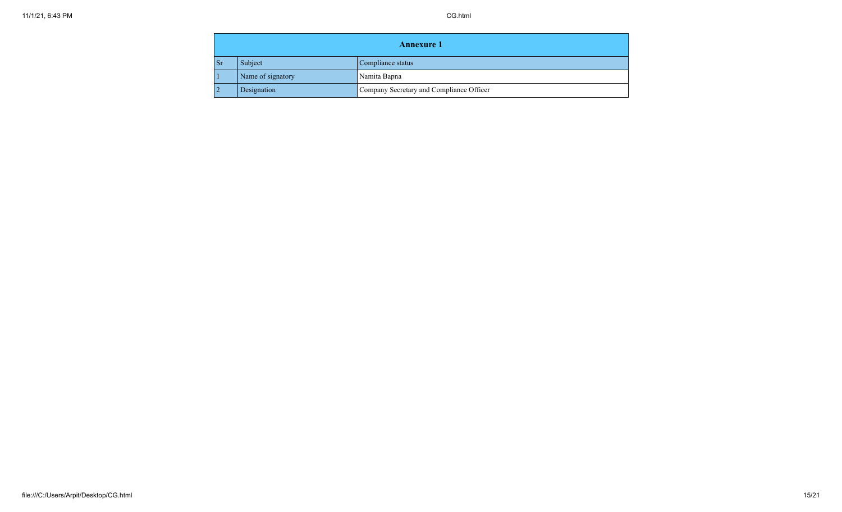| <b>Annexure 1</b> |                   |                                          |
|-------------------|-------------------|------------------------------------------|
| <b>Sr</b>         | Subject           | Compliance status                        |
|                   | Name of signatory | Namita Bapna                             |
| $\mathcal{D}$     | Designation       | Company Secretary and Compliance Officer |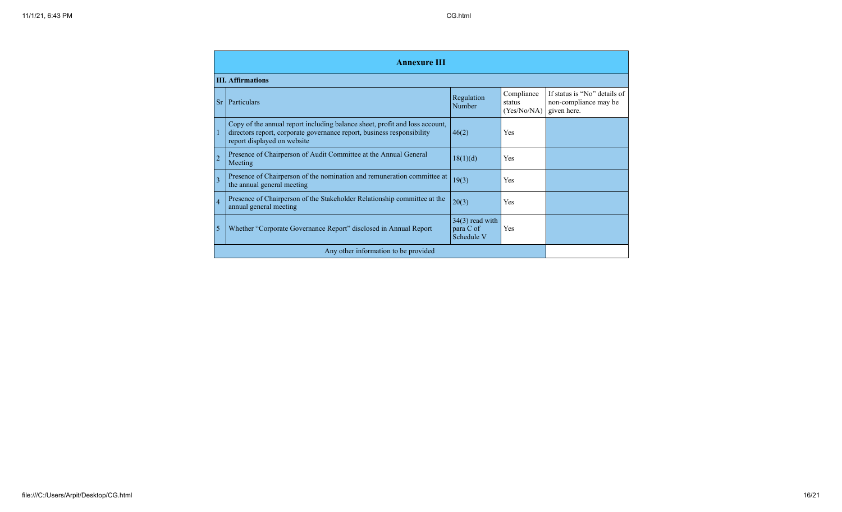|                | <b>Annexure III</b>                                                                                                                                                                  |                                              |                                     |                                                                      |
|----------------|--------------------------------------------------------------------------------------------------------------------------------------------------------------------------------------|----------------------------------------------|-------------------------------------|----------------------------------------------------------------------|
|                | <b>III. Affirmations</b>                                                                                                                                                             |                                              |                                     |                                                                      |
|                | <b>Sr</b><br><b>Particulars</b>                                                                                                                                                      | Regulation<br>Number                         | Compliance<br>status<br>(Yes/No/NA) | If status is "No" details of<br>non-compliance may be<br>given here. |
| 1              | Copy of the annual report including balance sheet, profit and loss account,<br>directors report, corporate governance report, business responsibility<br>report displayed on website | 46(2)                                        | Yes                                 |                                                                      |
| $\overline{c}$ | Presence of Chairperson of Audit Committee at the Annual General<br>Meeting                                                                                                          | 18(1)(d)                                     | Yes                                 |                                                                      |
| 3              | Presence of Chairperson of the nomination and remuneration committee at<br>the annual general meeting                                                                                | 19(3)                                        | Yes                                 |                                                                      |
| $\overline{4}$ | Presence of Chairperson of the Stakeholder Relationship committee at the<br>annual general meeting                                                                                   | 20(3)                                        | Yes                                 |                                                                      |
| 5              | Whether "Corporate Governance Report" disclosed in Annual Report                                                                                                                     | $34(3)$ read with<br>para C of<br>Schedule V | Yes                                 |                                                                      |
|                | Any other information to be provided                                                                                                                                                 |                                              |                                     |                                                                      |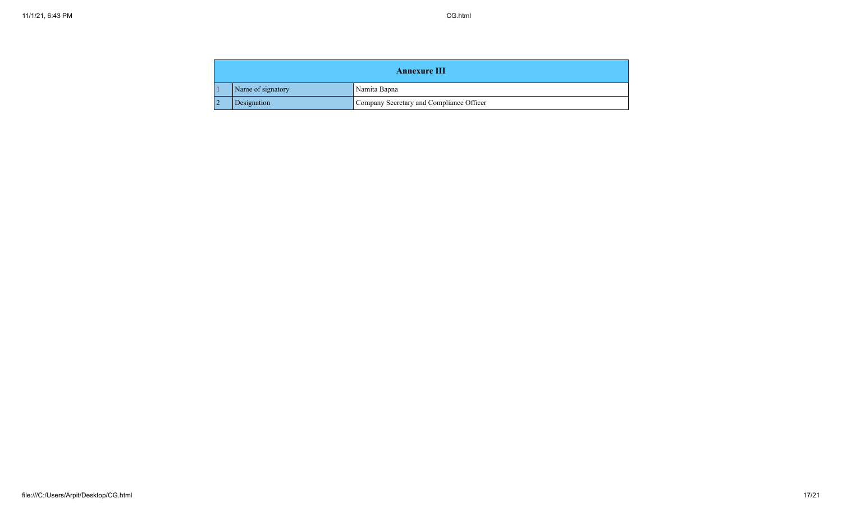| <b>Annexure III</b> |                   |                                          |
|---------------------|-------------------|------------------------------------------|
|                     | Name of signatory | Namita Bapna                             |
|                     | Designation       | Company Secretary and Compliance Officer |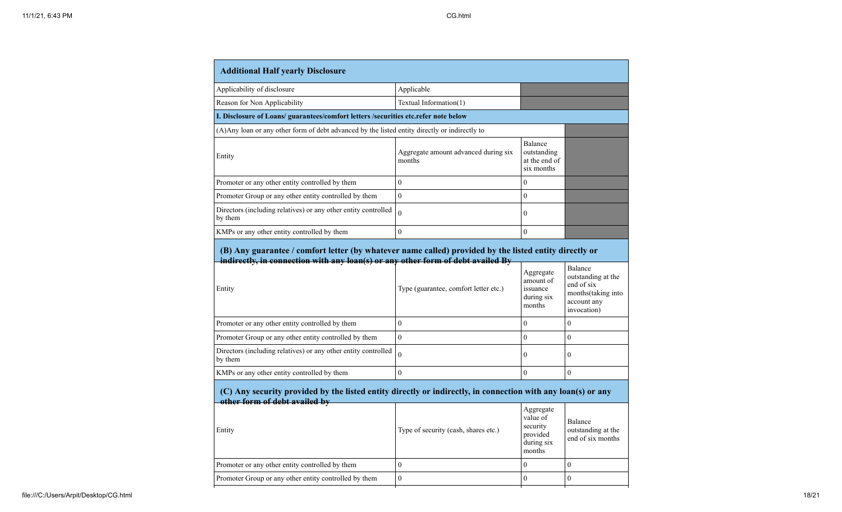| <b>Additional Half yearly Disclosure</b>                                                                                                                |                                                |                                                                       |                                                                                                  |
|---------------------------------------------------------------------------------------------------------------------------------------------------------|------------------------------------------------|-----------------------------------------------------------------------|--------------------------------------------------------------------------------------------------|
| Applicability of disclosure                                                                                                                             | Applicable                                     |                                                                       |                                                                                                  |
| Reason for Non Applicability                                                                                                                            | Textual Information(1)                         |                                                                       |                                                                                                  |
| I. Disclosure of Loans/ guarantees/comfort letters /securities etc.refer note below                                                                     |                                                |                                                                       |                                                                                                  |
| (A) Any loan or any other form of debt advanced by the listed entity directly or indirectly to                                                          |                                                |                                                                       |                                                                                                  |
| Entity                                                                                                                                                  | Aggregate amount advanced during six<br>months | Balance<br>outstanding<br>at the end of<br>six months                 |                                                                                                  |
| Promoter or any other entity controlled by them                                                                                                         | $\mathbf{0}$                                   | $\theta$                                                              |                                                                                                  |
| Promoter Group or any other entity controlled by them                                                                                                   | $\mathbf{0}$                                   | $\mathbf{0}$                                                          |                                                                                                  |
| Directors (including relatives) or any other entity controlled<br>by them                                                                               | $\overline{0}$                                 | $\overline{0}$                                                        |                                                                                                  |
| KMPs or any other entity controlled by them                                                                                                             | $\mathbf{0}$                                   | $\overline{0}$                                                        |                                                                                                  |
| Entity                                                                                                                                                  | Type (guarantee, comfort letter etc.)          | Aggregate<br>amount of<br>issuance<br>during six<br>months            | Balance<br>outstanding at the<br>end of six<br>months (taking into<br>account any<br>invocation) |
| Promoter or any other entity controlled by them                                                                                                         | $\boldsymbol{0}$                               | $\overline{0}$                                                        | $\theta$                                                                                         |
| Promoter Group or any other entity controlled by them                                                                                                   | $\boldsymbol{0}$                               | $\overline{0}$                                                        | $\boldsymbol{0}$                                                                                 |
| Directors (including relatives) or any other entity controlled<br>by them                                                                               | $\theta$                                       | $\overline{0}$                                                        | $\theta$                                                                                         |
| KMPs or any other entity controlled by them                                                                                                             | $\theta$                                       | $\overline{0}$                                                        | $\theta$                                                                                         |
| (C) Any security provided by the listed entity directly or indirectly, in connection with any loan(s) or any<br>other form of debt availed by<br>Entity | Type of security (cash, shares etc.)           | Aggregate<br>value of<br>security<br>provided<br>during six<br>months | Balance<br>outstanding at the<br>end of six months                                               |
| Promoter or any other entity controlled by them                                                                                                         | $\boldsymbol{0}$                               | $\overline{0}$                                                        | $\boldsymbol{0}$                                                                                 |
|                                                                                                                                                         |                                                |                                                                       |                                                                                                  |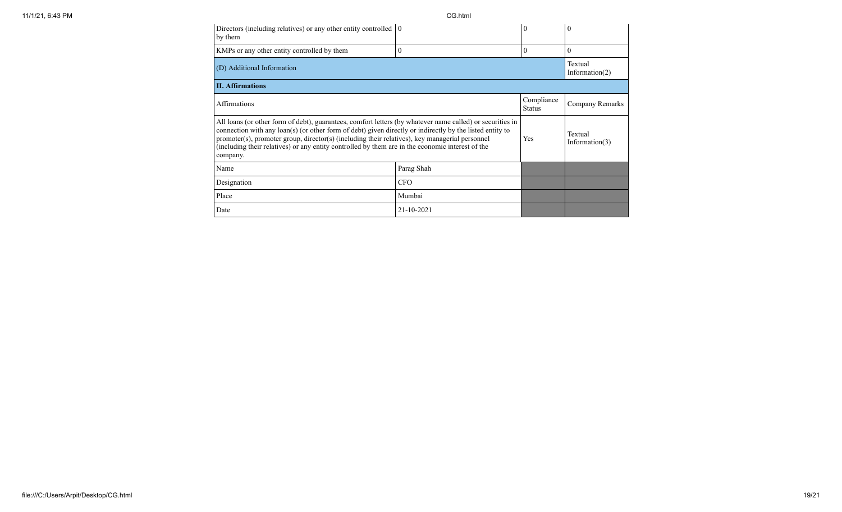| Directors (including relatives) or any other entity controlled $\vert 0 \rangle$<br>by them                                                                                                                                                                                                                                                                                                                                             |                              | 0                            | $\boldsymbol{0}$ |
|-----------------------------------------------------------------------------------------------------------------------------------------------------------------------------------------------------------------------------------------------------------------------------------------------------------------------------------------------------------------------------------------------------------------------------------------|------------------------------|------------------------------|------------------|
| KMPs or any other entity controlled by them                                                                                                                                                                                                                                                                                                                                                                                             | 0                            | $\Omega$                     | $\Omega$         |
| (D) Additional Information                                                                                                                                                                                                                                                                                                                                                                                                              | Textual<br>Information $(2)$ |                              |                  |
| <b>II.</b> Affirmations                                                                                                                                                                                                                                                                                                                                                                                                                 |                              |                              |                  |
| Compliance<br><b>Affirmations</b><br><b>Status</b>                                                                                                                                                                                                                                                                                                                                                                                      |                              |                              | Company Remarks  |
| All loans (or other form of debt), guarantees, comfort letters (by whatever name called) or securities in<br>connection with any loan(s) (or other form of debt) given directly or indirectly by the listed entity to<br>promoter(s), promoter group, director(s) (including their relatives), key managerial personnel<br>(including their relatives) or any entity controlled by them are in the economic interest of the<br>company. | Yes                          | Textual<br>Information $(3)$ |                  |
| Name                                                                                                                                                                                                                                                                                                                                                                                                                                    | Parag Shah                   |                              |                  |
| Designation                                                                                                                                                                                                                                                                                                                                                                                                                             | <b>CFO</b>                   |                              |                  |
| Place                                                                                                                                                                                                                                                                                                                                                                                                                                   | Mumbai                       |                              |                  |
| Date                                                                                                                                                                                                                                                                                                                                                                                                                                    | 21-10-2021                   |                              |                  |